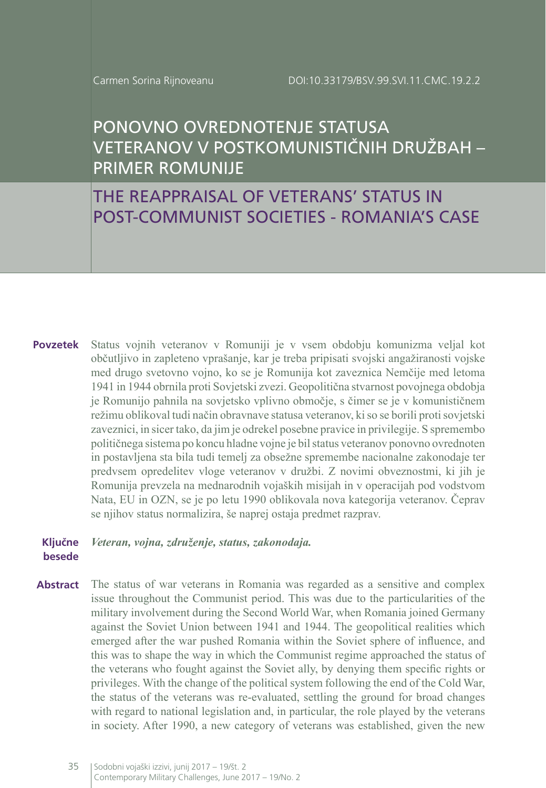# PONOVNO OVREDNOTENJE STATUSA VETERANOV V POSTKOMUNISTIČNIH DRUŽBAH – PRIMER ROMUNIJE

THE REAPPRAISAL OF VETERANS' STATUS IN POST-COMMUNIST SOCIETIES - ROMANIA'S CASE

**Povzetek** Status vojnih veteranov v Romuniji je v vsem obdobju komunizma veljal kot občutljivo in zapleteno vprašanje, kar je treba pripisati svojski angažiranosti vojske med drugo svetovno vojno, ko se je Romunija kot zaveznica Nemčije med letoma 1941 in 1944 obrnila proti Sovjetski zvezi. Geopolitična stvarnost povojnega obdobja je Romunijo pahnila na sovjetsko vplivno območje, s čimer se je v komunističnem režimu oblikoval tudi način obravnave statusa veteranov, ki so se borili proti sovjetski zaveznici, in sicer tako, da jim je odrekel posebne pravice in privilegije. S spremembo političnega sistema po koncu hladne vojne je bil status veteranov ponovno ovrednoten in postavljena sta bila tudi temelj za obsežne spremembe nacionalne zakonodaje ter predvsem opredelitev vloge veteranov v družbi. Z novimi obveznostmi, ki jih je Romunija prevzela na mednarodnih vojaških misijah in v operacijah pod vodstvom Nata, EU in OZN, se je po letu 1990 oblikovala nova kategorija veteranov. Čeprav se njihov status normalizira, še naprej ostaja predmet razprav.

#### **Ključne besede** *Veteran, vojna, združenje, status, zakonodaja.*

**Abstract** The status of war veterans in Romania was regarded as a sensitive and complex issue throughout the Communist period. This was due to the particularities of the military involvement during the Second World War, when Romania joined Germany against the Soviet Union between 1941 and 1944. The geopolitical realities which emerged after the war pushed Romania within the Soviet sphere of influence, and this was to shape the way in which the Communist regime approached the status of the veterans who fought against the Soviet ally, by denying them specific rights or privileges. With the change of the political system following the end of the Cold War, the status of the veterans was re-evaluated, settling the ground for broad changes with regard to national legislation and, in particular, the role played by the veterans in society. After 1990, a new category of veterans was established, given the new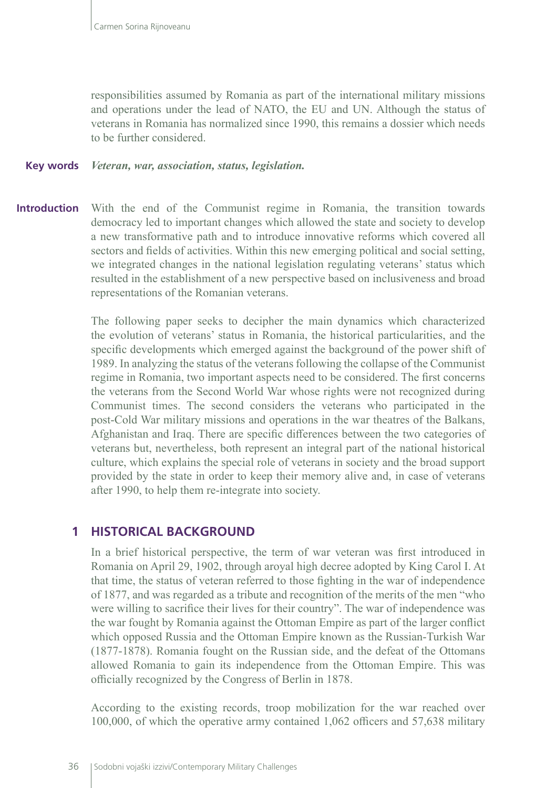responsibilities assumed by Romania as part of the international military missions and operations under the lead of NATO, the EU and UN. Although the status of veterans in Romania has normalized since 1990, this remains a dossier which needs to be further considered.

#### *Veteran, war, association, status, legislation.* **Key words**

With the end of the Communist regime in Romania, the transition towards democracy led to important changes which allowed the state and society to develop a new transformative path and to introduce innovative reforms which covered all sectors and fields of activities. Within this new emerging political and social setting, we integrated changes in the national legislation regulating veterans' status which resulted in the establishment of a new perspective based on inclusiveness and broad representations of the Romanian veterans. **Introduction**

> The following paper seeks to decipher the main dynamics which characterized the evolution of veterans' status in Romania, the historical particularities, and the specific developments which emerged against the background of the power shift of 1989. In analyzing the status of the veterans following the collapse of the Communist regime in Romania, two important aspects need to be considered. The first concerns the veterans from the Second World War whose rights were not recognized during Communist times. The second considers the veterans who participated in the post-Cold War military missions and operations in the war theatres of the Balkans, Afghanistan and Iraq. There are specific differences between the two categories of veterans but, nevertheless, both represent an integral part of the national historical culture, which explains the special role of veterans in society and the broad support provided by the state in order to keep their memory alive and, in case of veterans after 1990, to help them re-integrate into society.

### **1 HISTORICAL BACKGROUND**

In a brief historical perspective, the term of war veteran was first introduced in Romania on April 29, 1902, through aroyal high decree adopted by King Carol I. At that time, the status of veteran referred to those fighting in the war of independence of 1877, and was regarded as a tribute and recognition of the merits of the men "who were willing to sacrifice their lives for their country". The war of independence was the war fought by Romania against the Ottoman Empire as part of the larger conflict which opposed Russia and the Ottoman Empire known as the Russian-Turkish War (1877-1878). Romania fought on the Russian side, and the defeat of the Ottomans allowed Romania to gain its independence from the Ottoman Empire. This was officially recognized by the Congress of Berlin in 1878.

According to the existing records, troop mobilization for the war reached over 100,000, of which the operative army contained 1,062 officers and 57,638 military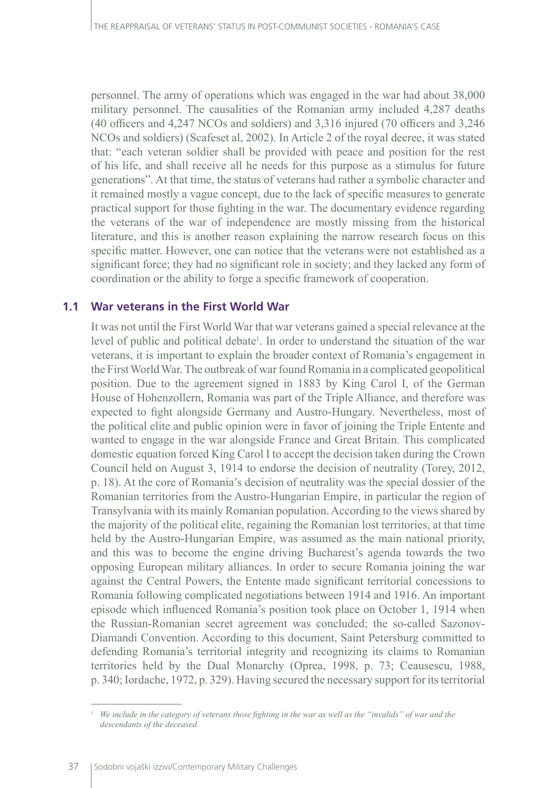personnel. The army of operations which was engaged in the war had about 38,000 military personnel. The causalities of the Romanian army included 4,287 deaths (40 officers and 4,247 NCOs and soldiers) and 3,316 injured (70 officers and 3,246 NCOs and soldiers) (Scafeset al, 2002). In Article 2 of the royal decree, it was stated that: "each veteran soldier shall be provided with peace and position for the rest of his life, and shall receive all he needs for this purpose as a stimulus for future generations". At that time, the status of veterans had rather a symbolic character and it remained mostly a vague concept, due to the lack of specific measures to generate practical support for those fighting in the war. The documentary evidence regarding the veterans of the war of independence are mostly missing from the historical literature, and this is another reason explaining the narrow research focus on this specific matter. However, one can notice that the veterans were not established as a significant force; they had no significant role in society; and they lacked any form of coordination or the ability to forge a specific framework of cooperation.

#### **1.1 War veterans in the First World War**

It was not until the First World War that war veterans gained a special relevance at the level of public and political debate<sup>1</sup>. In order to understand the situation of the war veterans, it is important to explain the broader context of Romania's engagement in the First World War. The outbreak of war found Romania in a complicated geopolitical position. Due to the agreement signed in 1883 by King Carol I, of the German House of Hohenzollern, Romania was part of the Triple Alliance, and therefore was expected to fight alongside Germany and Austro-Hungary. Nevertheless, most of the political elite and public opinion were in favor of joining the Triple Entente and wanted to engage in the war alongside France and Great Britain. This complicated domestic equation forced King Carol I to accept the decision taken during the Crown Council held on August 3, 1914 to endorse the decision of neutrality (Torey, 2012, p. 18). At the core of Romania's decision of neutrality was the special dossier of the Romanian territories from the Austro-Hungarian Empire, in particular the region of Transylvania with its mainly Romanian population. According to the views shared by the majority of the political elite, regaining the Romanian lost territories, at that time held by the Austro-Hungarian Empire, was assumed as the main national priority, and this was to become the engine driving Bucharest's agenda towards the two opposing European military alliances. In order to secure Romania joining the war against the Central Powers, the Entente made significant territorial concessions to Romania following complicated negotiations between 1914 and 1916. An important episode which influenced Romania's position took place on October 1, 1914 when the Russian-Romanian secret agreement was concluded; the so-called Sazonov-Diamandi Convention. According to this document, Saint Petersburg committed to defending Romania's territorial integrity and recognizing its claims to Romanian territories held by the Dual Monarchy (Oprea, 1998, p. 73; Ceausescu, 1988, p. 340; Iordache, 1972, p. 329). Having secured the necessary support for its territorial

*We include in the category of veterans those fighting in the war as well as the "invalids" of war and the descendants of the deceased.*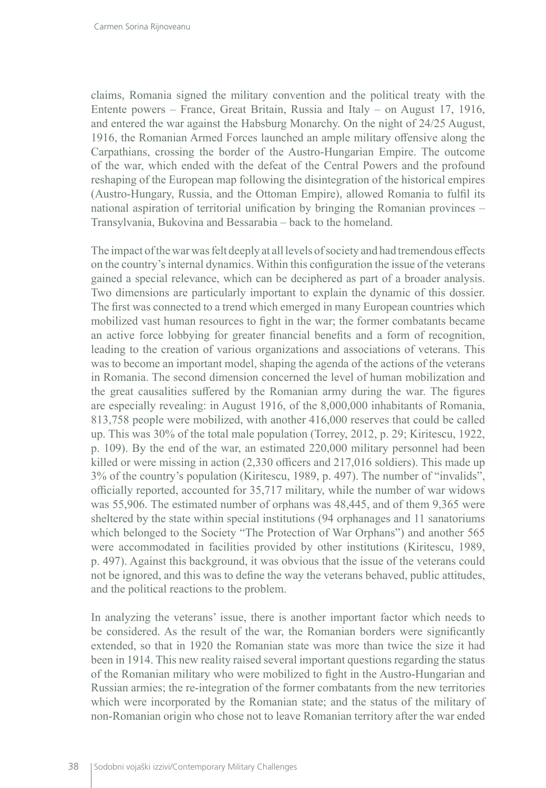claims, Romania signed the military convention and the political treaty with the Entente powers – France, Great Britain, Russia and Italy – on August 17, 1916, and entered the war against the Habsburg Monarchy. On the night of 24/25 August, 1916, the Romanian Armed Forces launched an ample military offensive along the Carpathians, crossing the border of the Austro-Hungarian Empire. The outcome of the war, which ended with the defeat of the Central Powers and the profound reshaping of the European map following the disintegration of the historical empires (Austro-Hungary, Russia, and the Ottoman Empire), allowed Romania to fulfil its national aspiration of territorial unification by bringing the Romanian provinces – Transylvania, Bukovina and Bessarabia – back to the homeland.

The impact of the war was felt deeply at all levels of society and had tremendous effects on the country's internal dynamics. Within this configuration the issue of the veterans gained a special relevance, which can be deciphered as part of a broader analysis. Two dimensions are particularly important to explain the dynamic of this dossier. The first was connected to a trend which emerged in many European countries which mobilized vast human resources to fight in the war; the former combatants became an active force lobbying for greater financial benefits and a form of recognition, leading to the creation of various organizations and associations of veterans. This was to become an important model, shaping the agenda of the actions of the veterans in Romania. The second dimension concerned the level of human mobilization and the great causalities suffered by the Romanian army during the war. The figures are especially revealing: in August 1916, of the 8,000,000 inhabitants of Romania, 813,758 people were mobilized, with another 416,000 reserves that could be called up. This was 30% of the total male population (Torrey, 2012, p. 29; Kiritescu, 1922, p. 109). By the end of the war, an estimated 220,000 military personnel had been killed or were missing in action (2,330 officers and 217,016 soldiers). This made up 3% of the country's population (Kiritescu, 1989, p. 497). The number of "invalids", officially reported, accounted for 35,717 military, while the number of war widows was 55,906. The estimated number of orphans was 48,445, and of them 9,365 were sheltered by the state within special institutions (94 orphanages and 11 sanatoriums which belonged to the Society "The Protection of War Orphans") and another 565 were accommodated in facilities provided by other institutions (Kiritescu, 1989, p. 497). Against this background, it was obvious that the issue of the veterans could not be ignored, and this was to define the way the veterans behaved, public attitudes, and the political reactions to the problem.

In analyzing the veterans' issue, there is another important factor which needs to be considered. As the result of the war, the Romanian borders were significantly extended, so that in 1920 the Romanian state was more than twice the size it had been in 1914. This new reality raised several important questions regarding the status of the Romanian military who were mobilized to fight in the Austro-Hungarian and Russian armies; the re-integration of the former combatants from the new territories which were incorporated by the Romanian state; and the status of the military of non-Romanian origin who chose not to leave Romanian territory after the war ended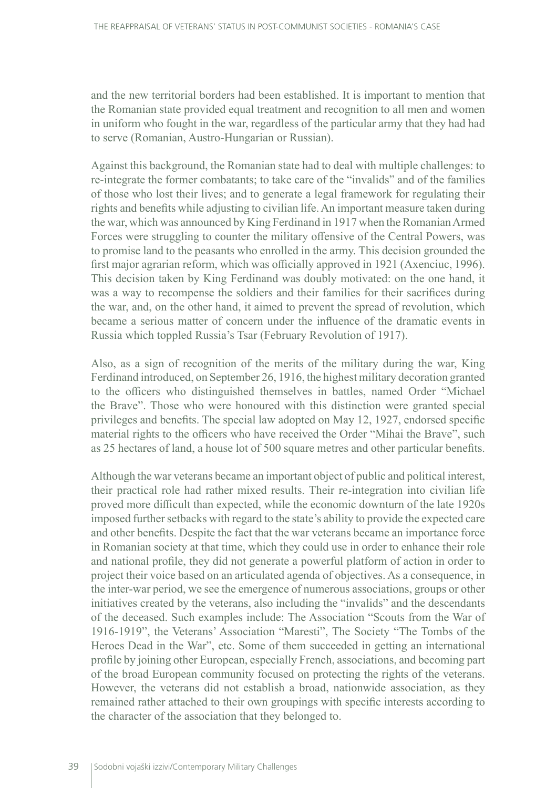and the new territorial borders had been established. It is important to mention that the Romanian state provided equal treatment and recognition to all men and women in uniform who fought in the war, regardless of the particular army that they had had to serve (Romanian, Austro-Hungarian or Russian).

Against this background, the Romanian state had to deal with multiple challenges: to re-integrate the former combatants; to take care of the "invalids" and of the families of those who lost their lives; and to generate a legal framework for regulating their rights and benefits while adjusting to civilian life. An important measure taken during the war, which was announced by King Ferdinand in 1917 when the Romanian Armed Forces were struggling to counter the military offensive of the Central Powers, was to promise land to the peasants who enrolled in the army. This decision grounded the first major agrarian reform, which was officially approved in 1921 (Axenciuc, 1996). This decision taken by King Ferdinand was doubly motivated: on the one hand, it was a way to recompense the soldiers and their families for their sacrifices during the war, and, on the other hand, it aimed to prevent the spread of revolution, which became a serious matter of concern under the influence of the dramatic events in Russia which toppled Russia's Tsar (February Revolution of 1917).

Also, as a sign of recognition of the merits of the military during the war, King Ferdinand introduced, on September 26, 1916, the highest military decoration granted to the officers who distinguished themselves in battles, named Order "Michael the Brave". Those who were honoured with this distinction were granted special privileges and benefits. The special law adopted on May 12, 1927, endorsed specific material rights to the officers who have received the Order "Mihai the Brave", such as 25 hectares of land, a house lot of 500 square metres and other particular benefits.

Although the war veterans became an important object of public and political interest, their practical role had rather mixed results. Their re-integration into civilian life proved more difficult than expected, while the economic downturn of the late 1920s imposed further setbacks with regard to the state's ability to provide the expected care and other benefits. Despite the fact that the war veterans became an importance force in Romanian society at that time, which they could use in order to enhance their role and national profile, they did not generate a powerful platform of action in order to project their voice based on an articulated agenda of objectives. As a consequence, in the inter-war period, we see the emergence of numerous associations, groups or other initiatives created by the veterans, also including the "invalids" and the descendants of the deceased. Such examples include: The Association "Scouts from the War of 1916-1919", the Veterans' Association "Maresti", The Society "The Tombs of the Heroes Dead in the War", etc. Some of them succeeded in getting an international profile by joining other European, especially French, associations, and becoming part of the broad European community focused on protecting the rights of the veterans. However, the veterans did not establish a broad, nationwide association, as they remained rather attached to their own groupings with specific interests according to the character of the association that they belonged to.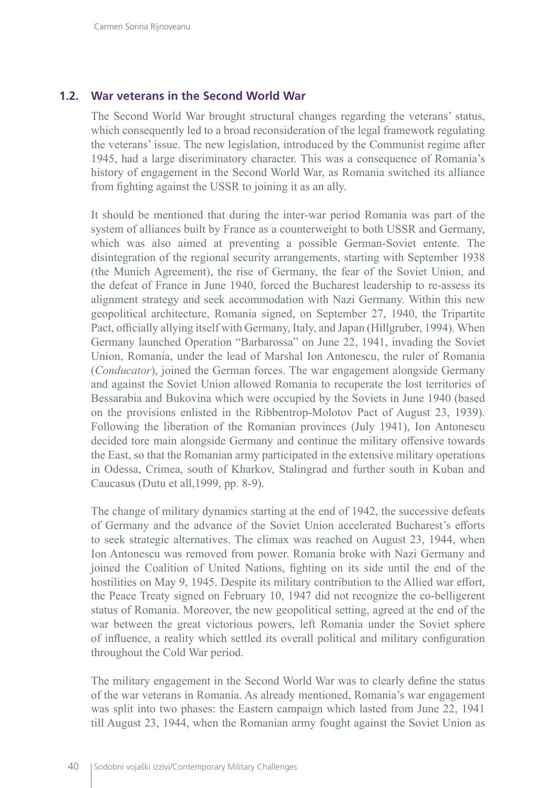#### **1.2. War veterans in the Second World War**

The Second World War brought structural changes regarding the veterans' status, which consequently led to a broad reconsideration of the legal framework regulating the veterans' issue. The new legislation, introduced by the Communist regime after 1945, had a large discriminatory character. This was a consequence of Romania's history of engagement in the Second World War, as Romania switched its alliance from fighting against the USSR to joining it as an ally.

It should be mentioned that during the inter-war period Romania was part of the system of alliances built by France as a counterweight to both USSR and Germany, which was also aimed at preventing a possible German-Soviet entente. The disintegration of the regional security arrangements, starting with September 1938 (the Munich Agreement), the rise of Germany, the fear of the Soviet Union, and the defeat of France in June 1940, forced the Bucharest leadership to re-assess its alignment strategy and seek accommodation with Nazi Germany. Within this new geopolitical architecture, Romania signed, on September 27, 1940, the Tripartite Pact, officially allying itself with Germany, Italy, and Japan (Hillgruber, 1994). When Germany launched Operation "Barbarossa" on June 22, 1941, invading the Soviet Union, Romania, under the lead of Marshal Ion Antonescu, the ruler of Romania (*Conducator*), joined the German forces. The war engagement alongside Germany and against the Soviet Union allowed Romania to recuperate the lost territories of Bessarabia and Bukovina which were occupied by the Soviets in June 1940 (based on the provisions enlisted in the Ribbentrop-Molotov Pact of August 23, 1939). Following the liberation of the Romanian provinces (July 1941), Ion Antonescu decided tore main alongside Germany and continue the military offensive towards the East, so that the Romanian army participated in the extensive military operations in Odessa, Crimea, south of Kharkov, Stalingrad and further south in Kuban and Caucasus (Dutu et all,1999, pp. 8-9).

The change of military dynamics starting at the end of 1942, the successive defeats of Germany and the advance of the Soviet Union accelerated Bucharest's efforts to seek strategic alternatives. The climax was reached on August 23, 1944, when Ion Antonescu was removed from power. Romania broke with Nazi Germany and joined the Coalition of United Nations, fighting on its side until the end of the hostilities on May 9, 1945. Despite its military contribution to the Allied war effort, the Peace Treaty signed on February 10, 1947 did not recognize the co-belligerent status of Romania. Moreover, the new geopolitical setting, agreed at the end of the war between the great victorious powers, left Romania under the Soviet sphere of influence, a reality which settled its overall political and military configuration throughout the Cold War period.

The military engagement in the Second World War was to clearly define the status of the war veterans in Romania. As already mentioned, Romania's war engagement was split into two phases: the Eastern campaign which lasted from June 22, 1941 till August 23, 1944, when the Romanian army fought against the Soviet Union as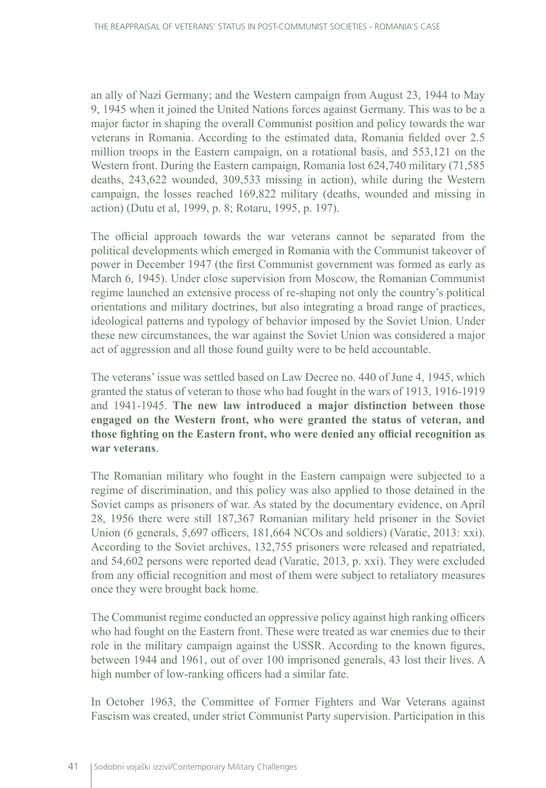an ally of Nazi Germany; and the Western campaign from August 23, 1944 to May 9, 1945 when it joined the United Nations forces against Germany. This was to be a major factor in shaping the overall Communist position and policy towards the war veterans in Romania. According to the estimated data, Romania fielded over 2.5 million troops in the Eastern campaign, on a rotational basis, and 553,121 on the Western front. During the Eastern campaign, Romania lost 624,740 military (71,585 deaths, 243,622 wounded, 309,533 missing in action), while during the Western campaign, the losses reached 169,822 military (deaths, wounded and missing in action) (Dutu et al, 1999, p. 8; Rotaru, 1995, p. 197).

The official approach towards the war veterans cannot be separated from the political developments which emerged in Romania with the Communist takeover of power in December 1947 (the first Communist government was formed as early as March 6, 1945). Under close supervision from Moscow, the Romanian Communist regime launched an extensive process of re-shaping not only the country's political orientations and military doctrines, but also integrating a broad range of practices, ideological patterns and typology of behavior imposed by the Soviet Union. Under these new circumstances, the war against the Soviet Union was considered a major act of aggression and all those found guilty were to be held accountable.

The veterans' issue was settled based on Law Decree no. 440 of June 4, 1945, which granted the status of veteran to those who had fought in the wars of 1913, 1916-1919 and 1941-1945. **The new law introduced a major distinction between those engaged on the Western front, who were granted the status of veteran, and those fighting on the Eastern front, who were denied any official recognition as war veterans**.

The Romanian military who fought in the Eastern campaign were subjected to a regime of discrimination, and this policy was also applied to those detained in the Soviet camps as prisoners of war. As stated by the documentary evidence, on April 28, 1956 there were still 187,367 Romanian military held prisoner in the Soviet Union (6 generals, 5,697 officers, 181,664 NCOs and soldiers) (Varatic, 2013: xxi). According to the Soviet archives, 132,755 prisoners were released and repatriated, and 54,602 persons were reported dead (Varatic, 2013, p. xxi). They were excluded from any official recognition and most of them were subject to retaliatory measures once they were brought back home.

The Communist regime conducted an oppressive policy against high ranking officers who had fought on the Eastern front. These were treated as war enemies due to their role in the military campaign against the USSR. According to the known figures, between 1944 and 1961, out of over 100 imprisoned generals, 43 lost their lives. A high number of low-ranking officers had a similar fate.

In October 1963, the Committee of Former Fighters and War Veterans against Fascism was created, under strict Communist Party supervision. Participation in this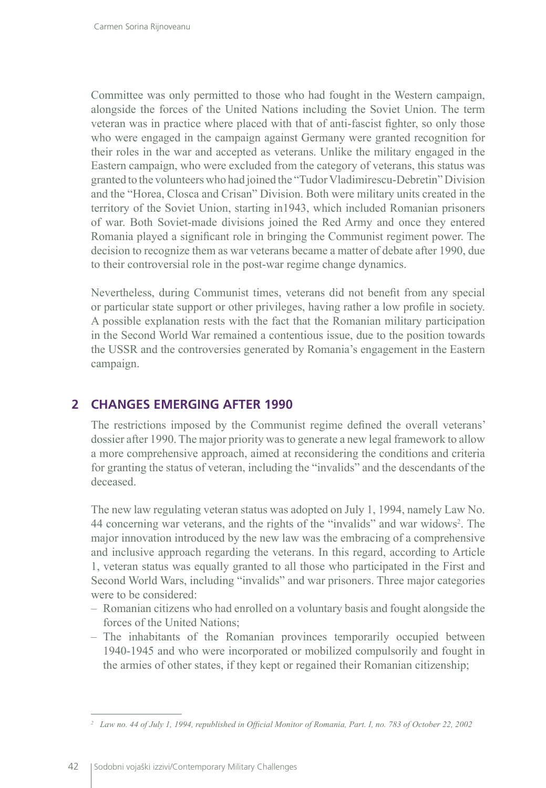Committee was only permitted to those who had fought in the Western campaign, alongside the forces of the United Nations including the Soviet Union. The term veteran was in practice where placed with that of anti-fascist fighter, so only those who were engaged in the campaign against Germany were granted recognition for their roles in the war and accepted as veterans. Unlike the military engaged in the Eastern campaign, who were excluded from the category of veterans, this status was granted to the volunteers who had joined the "Tudor Vladimirescu-Debretin" Division and the "Horea, Closca and Crisan" Division. Both were military units created in the territory of the Soviet Union, starting in1943, which included Romanian prisoners of war. Both Soviet-made divisions joined the Red Army and once they entered Romania played a significant role in bringing the Communist regiment power. The decision to recognize them as war veterans became a matter of debate after 1990, due to their controversial role in the post-war regime change dynamics.

Nevertheless, during Communist times, veterans did not benefit from any special or particular state support or other privileges, having rather a low profile in society. A possible explanation rests with the fact that the Romanian military participation in the Second World War remained a contentious issue, due to the position towards the USSR and the controversies generated by Romania's engagement in the Eastern campaign.

## **2 CHANGES EMERGING AFTER 1990**

The restrictions imposed by the Communist regime defined the overall veterans' dossier after 1990. The major priority was to generate a new legal framework to allow a more comprehensive approach, aimed at reconsidering the conditions and criteria for granting the status of veteran, including the "invalids" and the descendants of the deceased.

The new law regulating veteran status was adopted on July 1, 1994, namely Law No. 44 concerning war veterans, and the rights of the "invalids" and war widows<sup>2</sup>. The major innovation introduced by the new law was the embracing of a comprehensive and inclusive approach regarding the veterans. In this regard, according to Article 1, veteran status was equally granted to all those who participated in the First and Second World Wars, including "invalids" and war prisoners. Three major categories were to be considered:

- Romanian citizens who had enrolled on a voluntary basis and fought alongside the forces of the United Nations;
- The inhabitants of the Romanian provinces temporarily occupied between 1940-1945 and who were incorporated or mobilized compulsorily and fought in the armies of other states, if they kept or regained their Romanian citizenship;

*<sup>2</sup> Law no. 44 of July 1, 1994, republished in Official Monitor of Romania, Part. I, no. 783 of October 22, 2002*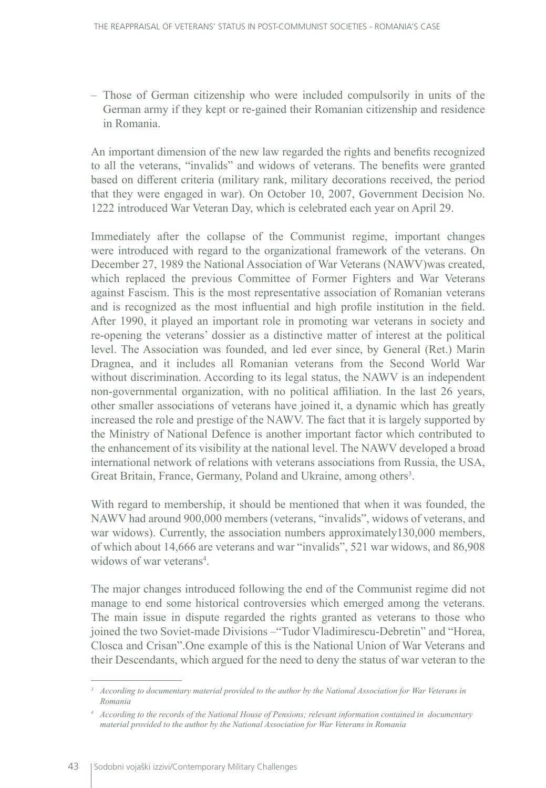– Those of German citizenship who were included compulsorily in units of the German army if they kept or re-gained their Romanian citizenship and residence in Romania.

An important dimension of the new law regarded the rights and benefits recognized to all the veterans, "invalids" and widows of veterans. The benefits were granted based on different criteria (military rank, military decorations received, the period that they were engaged in war). On October 10, 2007, Government Decision No. 1222 introduced War Veteran Day, which is celebrated each year on April 29.

Immediately after the collapse of the Communist regime, important changes were introduced with regard to the organizational framework of the veterans. On December 27, 1989 the National Association of War Veterans (NAWV)was created, which replaced the previous Committee of Former Fighters and War Veterans against Fascism. This is the most representative association of Romanian veterans and is recognized as the most influential and high profile institution in the field. After 1990, it played an important role in promoting war veterans in society and re-opening the veterans' dossier as a distinctive matter of interest at the political level. The Association was founded, and led ever since, by General (Ret.) Marin Dragnea, and it includes all Romanian veterans from the Second World War without discrimination. According to its legal status, the NAWV is an independent non-governmental organization, with no political affiliation. In the last 26 years, other smaller associations of veterans have joined it, a dynamic which has greatly increased the role and prestige of the NAWV. The fact that it is largely supported by the Ministry of National Defence is another important factor which contributed to the enhancement of its visibility at the national level. The NAWV developed a broad international network of relations with veterans associations from Russia, the USA, Great Britain, France, Germany, Poland and Ukraine, among others<sup>3</sup>.

With regard to membership, it should be mentioned that when it was founded, the NAWV had around 900,000 members (veterans, "invalids", widows of veterans, and war widows). Currently, the association numbers approximately 130,000 members, of which about 14,666 are veterans and war "invalids", 521 war widows, and 86,908 widows of war veterans<sup>4</sup>.

The major changes introduced following the end of the Communist regime did not manage to end some historical controversies which emerged among the veterans. The main issue in dispute regarded the rights granted as veterans to those who joined the two Soviet-made Divisions –"Tudor Vladimirescu-Debretin" and "Horea, Closca and Crisan".One example of this is the National Union of War Veterans and their Descendants, which argued for the need to deny the status of war veteran to the

*<sup>3</sup> According to documentary material provided to the author by the National Association for War Veterans in Romania*

*<sup>4</sup> According to the records of the National House of Pensions; relevant information contained in documentary material provided to the author by the National Association for War Veterans in Romania*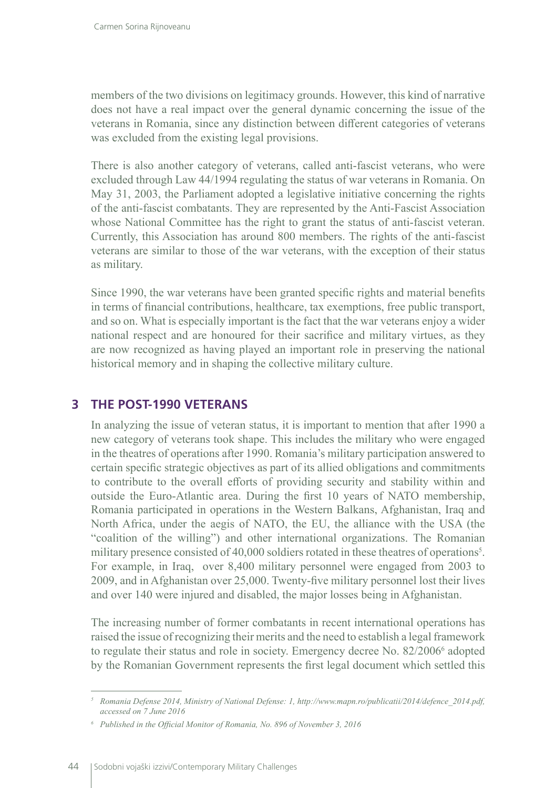members of the two divisions on legitimacy grounds. However, this kind of narrative does not have a real impact over the general dynamic concerning the issue of the veterans in Romania, since any distinction between different categories of veterans was excluded from the existing legal provisions.

There is also another category of veterans, called anti-fascist veterans, who were excluded through Law 44/1994 regulating the status of war veterans in Romania. On May 31, 2003, the Parliament adopted a legislative initiative concerning the rights of the anti-fascist combatants. They are represented by the Anti-Fascist Association whose National Committee has the right to grant the status of anti-fascist veteran. Currently, this Association has around 800 members. The rights of the anti-fascist veterans are similar to those of the war veterans, with the exception of their status as military.

Since 1990, the war veterans have been granted specific rights and material benefits in terms of financial contributions, healthcare, tax exemptions, free public transport, and so on. What is especially important is the fact that the war veterans enjoy a wider national respect and are honoured for their sacrifice and military virtues, as they are now recognized as having played an important role in preserving the national historical memory and in shaping the collective military culture.

### **3 THE POST-1990 VETERANS**

In analyzing the issue of veteran status, it is important to mention that after 1990 a new category of veterans took shape. This includes the military who were engaged in the theatres of operations after 1990. Romania's military participation answered to certain specific strategic objectives as part of its allied obligations and commitments to contribute to the overall efforts of providing security and stability within and outside the Euro-Atlantic area. During the first 10 years of NATO membership, Romania participated in operations in the Western Balkans, Afghanistan, Iraq and North Africa, under the aegis of NATO, the EU, the alliance with the USA (the "coalition of the willing") and other international organizations. The Romanian military presence consisted of 40,000 soldiers rotated in these theatres of operations<sup>5</sup>. For example, in Iraq, over 8,400 military personnel were engaged from 2003 to 2009, and in Afghanistan over 25,000. Twenty-five military personnel lost their lives and over 140 were injured and disabled, the major losses being in Afghanistan.

The increasing number of former combatants in recent international operations has raised the issue of recognizing their merits and the need to establish a legal framework to regulate their status and role in society. Emergency decree No. 82/2006<sup>6</sup> adopted by the Romanian Government represents the first legal document which settled this

*<sup>5</sup> Romania Defense 2014, Ministry of National Defense: 1, http://www.mapn.ro/publicatii/2014/defence\_2014.pdf, accessed on 7 June 2016*

*<sup>6</sup> Published in the Official Monitor of Romania, No. 896 of November 3, 2016*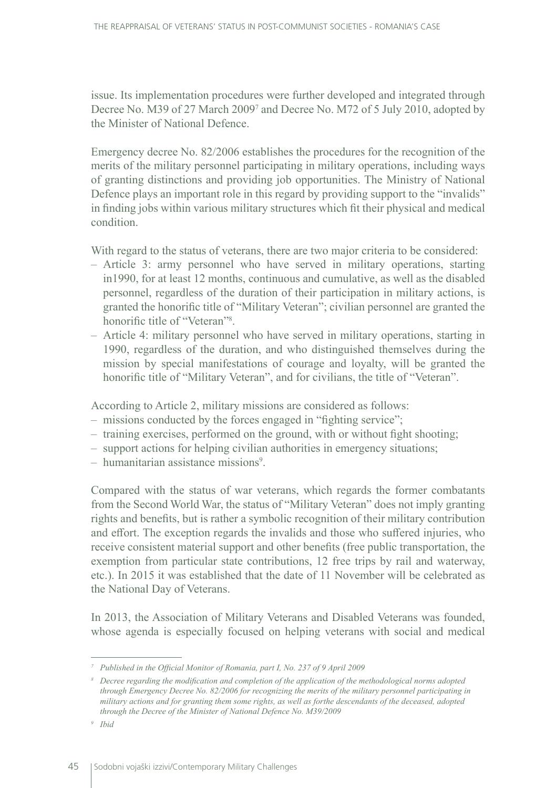issue. Its implementation procedures were further developed and integrated through Decree No. M39 of 27 March 20097 and Decree No. M72 of 5 July 2010, adopted by the Minister of National Defence.

Emergency decree No. 82/2006 establishes the procedures for the recognition of the merits of the military personnel participating in military operations, including ways of granting distinctions and providing job opportunities. The Ministry of National Defence plays an important role in this regard by providing support to the "invalids" in finding jobs within various military structures which fit their physical and medical condition.

With regard to the status of veterans, there are two major criteria to be considered:

- Article 3: army personnel who have served in military operations, starting in1990, for at least 12 months, continuous and cumulative, as well as the disabled personnel, regardless of the duration of their participation in military actions, is granted the honorific title of "Military Veteran"; civilian personnel are granted the honorific title of "Veteran"<sup>8</sup>.
- Article 4: military personnel who have served in military operations, starting in 1990, regardless of the duration, and who distinguished themselves during the mission by special manifestations of courage and loyalty, will be granted the honorific title of "Military Veteran", and for civilians, the title of "Veteran".

According to Article 2, military missions are considered as follows:

- missions conducted by the forces engaged in "fighting service";
- training exercises, performed on the ground, with or without fight shooting;
- support actions for helping civilian authorities in emergency situations;
- humanitarian assistance missions<sup>9</sup>.

Compared with the status of war veterans, which regards the former combatants from the Second World War, the status of "Military Veteran" does not imply granting rights and benefits, but is rather a symbolic recognition of their military contribution and effort. The exception regards the invalids and those who suffered injuries, who receive consistent material support and other benefits (free public transportation, the exemption from particular state contributions, 12 free trips by rail and waterway, etc.). In 2015 it was established that the date of 11 November will be celebrated as the National Day of Veterans.

In 2013, the Association of Military Veterans and Disabled Veterans was founded, whose agenda is especially focused on helping veterans with social and medical

*<sup>7</sup> Published in the Official Monitor of Romania, part I, No. 237 of 9 April 2009*

*<sup>8</sup> Decree regarding the modification and completion of the application of the methodological norms adopted through Emergency Decree No. 82/2006 for recognizing the merits of the military personnel participating in military actions and for granting them some rights, as well as forthe descendants of the deceased, adopted through the Decree of the Minister of National Defence No. M39/2009*

*<sup>9</sup> Ibid*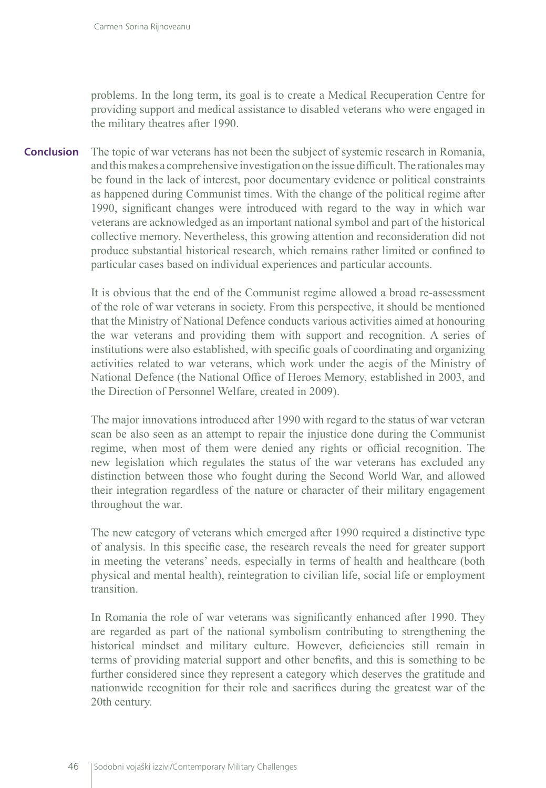problems. In the long term, its goal is to create a Medical Recuperation Centre for providing support and medical assistance to disabled veterans who were engaged in the military theatres after 1990.

The topic of war veterans has not been the subject of systemic research in Romania, and this makes a comprehensive investigation on the issue difficult. The rationales may be found in the lack of interest, poor documentary evidence or political constraints as happened during Communist times. With the change of the political regime after 1990, significant changes were introduced with regard to the way in which war veterans are acknowledged as an important national symbol and part of the historical collective memory. Nevertheless, this growing attention and reconsideration did not produce substantial historical research, which remains rather limited or confined to particular cases based on individual experiences and particular accounts. **Conclusion**

> It is obvious that the end of the Communist regime allowed a broad re-assessment of the role of war veterans in society. From this perspective, it should be mentioned that the Ministry of National Defence conducts various activities aimed at honouring the war veterans and providing them with support and recognition. A series of institutions were also established, with specific goals of coordinating and organizing activities related to war veterans, which work under the aegis of the Ministry of National Defence (the National Office of Heroes Memory, established in 2003, and the Direction of Personnel Welfare, created in 2009).

> The major innovations introduced after 1990 with regard to the status of war veteran scan be also seen as an attempt to repair the injustice done during the Communist regime, when most of them were denied any rights or official recognition. The new legislation which regulates the status of the war veterans has excluded any distinction between those who fought during the Second World War, and allowed their integration regardless of the nature or character of their military engagement throughout the war.

> The new category of veterans which emerged after 1990 required a distinctive type of analysis. In this specific case, the research reveals the need for greater support in meeting the veterans' needs, especially in terms of health and healthcare (both physical and mental health), reintegration to civilian life, social life or employment transition.

> In Romania the role of war veterans was significantly enhanced after 1990. They are regarded as part of the national symbolism contributing to strengthening the historical mindset and military culture. However, deficiencies still remain in terms of providing material support and other benefits, and this is something to be further considered since they represent a category which deserves the gratitude and nationwide recognition for their role and sacrifices during the greatest war of the 20th century.